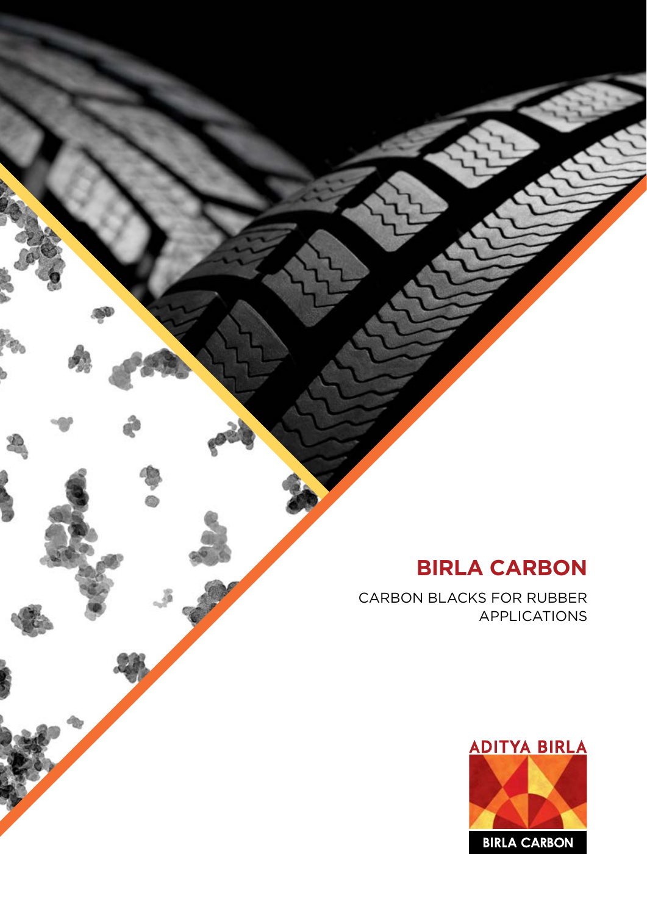# **BIRLA CARBON**

CARBON BLACKS FOR RUBBER APPLICATIONS

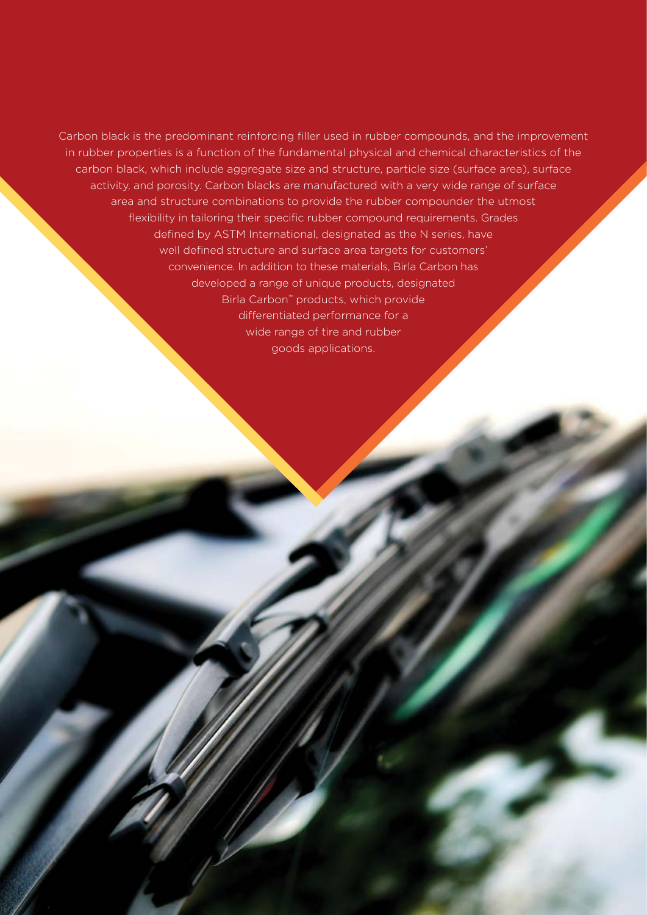Carbon black is the predominant reinforcing filler used in rubber compounds, and the improvement in rubber properties is a function of the fundamental physical and chemical characteristics of the carbon black, which include aggregate size and structure, particle size (surface area), surface activity, and porosity. Carbon blacks are manufactured with a very wide range of surface area and structure combinations to provide the rubber compounder the utmost flexibility in tailoring their specific rubber compound requirements. Grades defined by ASTM International, designated as the N series, have well defined structure and surface area targets for customers' convenience. In addition to these materials, Birla Carbon has developed a range of unique products, designated Birla Carbon™ products, which provide differentiated performance for a wide range of tire and rubber goods applications.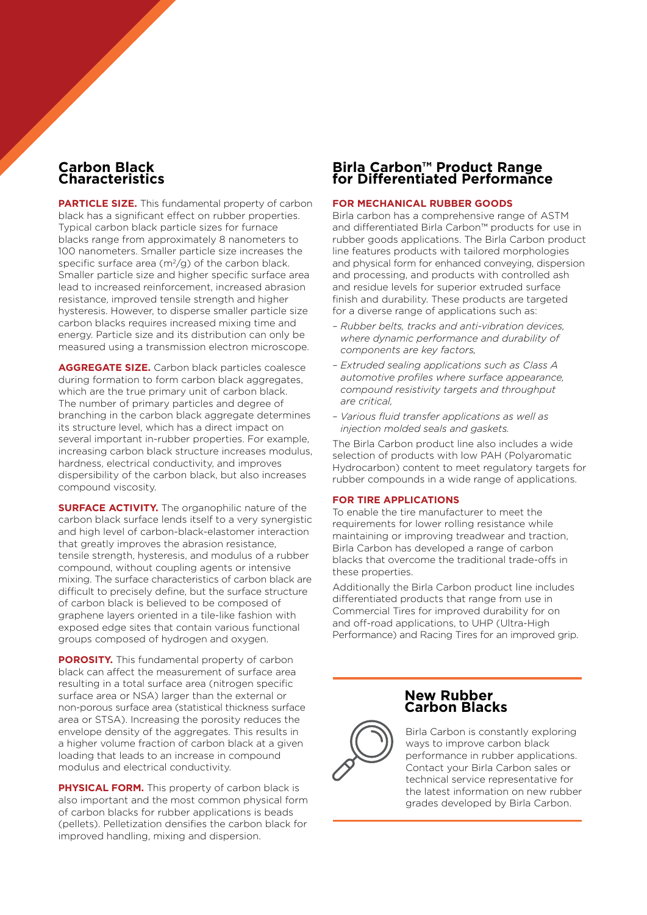### **Carbon Black Characteristics**

**PARTICLE SIZE.** This fundamental property of carbon black has a significant effect on rubber properties. Typical carbon black particle sizes for furnace blacks range from approximately 8 nanometers to 100 nanometers. Smaller particle size increases the specific surface area  $(m^2/q)$  of the carbon black. Smaller particle size and higher specific surface area lead to increased reinforcement, increased abrasion resistance, improved tensile strength and higher hysteresis. However, to disperse smaller particle size carbon blacks requires increased mixing time and energy. Particle size and its distribution can only be measured using a transmission electron microscope.

**AGGREGATE SIZE.** Carbon black particles coalesce during formation to form carbon black aggregates, which are the true primary unit of carbon black. The number of primary particles and degree of branching in the carbon black aggregate determines its structure level, which has a direct impact on several important in-rubber properties. For example, increasing carbon black structure increases modulus, hardness, electrical conductivity, and improves dispersibility of the carbon black, but also increases compound viscosity.

**SURFACE ACTIVITY.** The organophilic nature of the carbon black surface lends itself to a very synergistic and high level of carbon-black-elastomer interaction that greatly improves the abrasion resistance, tensile strength, hysteresis, and modulus of a rubber compound, without coupling agents or intensive mixing. The surface characteristics of carbon black are difficult to precisely define, but the surface structure of carbon black is believed to be composed of graphene layers oriented in a tile-like fashion with exposed edge sites that contain various functional groups composed of hydrogen and oxygen.

**POROSITY.** This fundamental property of carbon black can affect the measurement of surface area resulting in a total surface area (nitrogen specific surface area or NSA) larger than the external or non-porous surface area (statistical thickness surface area or STSA). Increasing the porosity reduces the envelope density of the aggregates. This results in a higher volume fraction of carbon black at a given loading that leads to an increase in compound modulus and electrical conductivity.

**PHYSICAL FORM.** This property of carbon black is also important and the most common physical form of carbon blacks for rubber applications is beads (pellets). Pelletization densifies the carbon black for improved handling, mixing and dispersion.

### **Birla Carbon™ Product Range for Differentiated Performance**

#### **FOR MECHANICAL RUBBER GOODS**

Birla carbon has a comprehensive range of ASTM and differentiated Birla Carbon™ products for use in rubber goods applications. The Birla Carbon product line features products with tailored morphologies and physical form for enhanced conveying, dispersion and processing, and products with controlled ash and residue levels for superior extruded surface finish and durability. These products are targeted for a diverse range of applications such as:

- *Rubber belts, tracks and anti-vibration devices, where dynamic performance and durability of components are key factors,*
- *Extruded sealing applications such as Class A automotive profiles where surface appearance, compound resistivity targets and throughput are critical,*
- *Various fluid transfer applications as well as injection molded seals and gaskets.*

The Birla Carbon product line also includes a wide selection of products with low PAH (Polyaromatic Hydrocarbon) content to meet regulatory targets for rubber compounds in a wide range of applications.

#### **FOR TIRE APPLICATIONS**

To enable the tire manufacturer to meet the requirements for lower rolling resistance while maintaining or improving treadwear and traction, Birla Carbon has developed a range of carbon blacks that overcome the traditional trade-offs in these properties.

Additionally the Birla Carbon product line includes differentiated products that range from use in Commercial Tires for improved durability for on and off-road applications, to UHP (Ultra-High Performance) and Racing Tires for an improved grip.

#### **New Rubber Carbon Blacks**



 Birla Carbon is constantly exploring ways to improve carbon black performance in rubber applications. Contact your Birla Carbon sales or technical service representative for the latest information on new rubber grades developed by Birla Carbon.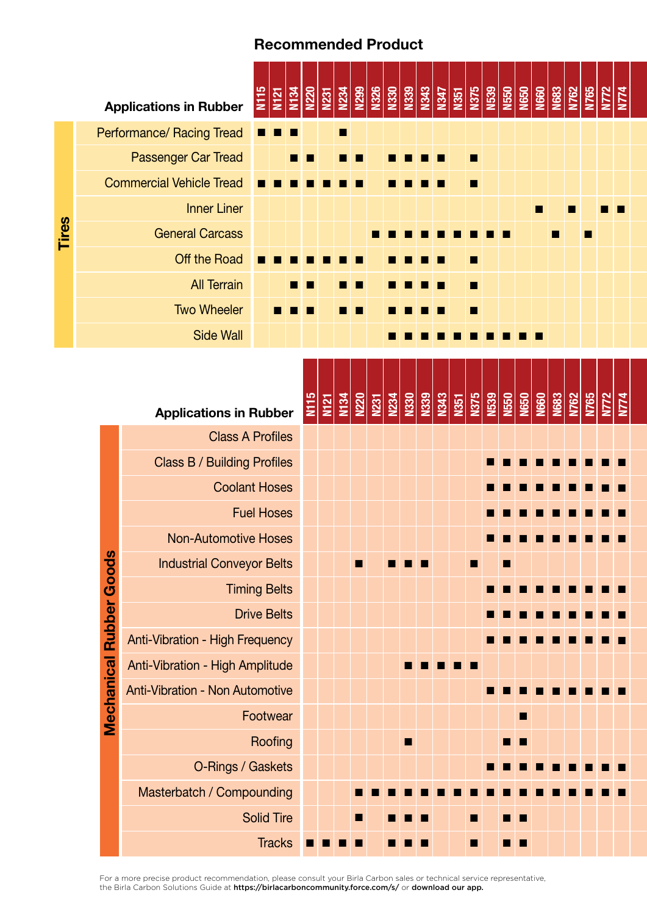## Recommended Product

|                               |                                 |                                                                   | <b>Applications in Rubber</b>          | N115                 | <b>N121</b> | N134 | <b>N220</b> | <u>N231</u> | $\begin{array}{ c c c }\hline 234 & 80 & 80 & 80 \\ \hline 22 & 80 & 80 & 80 \\ \hline 23 & 80 & 80 & 80 \\ \hline \end{array}$ |                                     |  |      | N343 |  |   |  |                                                                                                                       | <u>1975 - 1979 - 1989 - 1989 - 1989 - 1989 - 1989 - 1989 - 1989 - 1989 - 1989 - 1989 - 1989 - 1989 - 1989 - 1989 </u> |                                    | N765 | <u>N772</u> | N774 |
|-------------------------------|---------------------------------|-------------------------------------------------------------------|----------------------------------------|----------------------|-------------|------|-------------|-------------|---------------------------------------------------------------------------------------------------------------------------------|-------------------------------------|--|------|------|--|---|--|-----------------------------------------------------------------------------------------------------------------------|-----------------------------------------------------------------------------------------------------------------------|------------------------------------|------|-------------|------|
|                               |                                 |                                                                   | Performance/ Racing Tread              |                      |             |      |             |             | ■                                                                                                                               |                                     |  |      |      |  |   |  |                                                                                                                       |                                                                                                                       |                                    |      |             |      |
|                               | Passenger Car Tread             |                                                                   |                                        |                      |             |      |             |             |                                                                                                                                 |                                     |  |      |      |  |   |  |                                                                                                                       |                                                                                                                       |                                    |      |             |      |
|                               | <b>Commercial Vehicle Tread</b> |                                                                   |                                        |                      |             |      |             |             |                                                                                                                                 |                                     |  |      |      |  |   |  |                                                                                                                       |                                                                                                                       |                                    |      |             |      |
|                               | <b>Inner Liner</b>              |                                                                   |                                        |                      |             |      |             |             |                                                                                                                                 |                                     |  |      |      |  |   |  |                                                                                                                       |                                                                                                                       |                                    |      |             |      |
| <b>Tires</b>                  | <b>General Carcass</b>          |                                                                   |                                        |                      |             |      |             |             |                                                                                                                                 |                                     |  |      |      |  |   |  |                                                                                                                       |                                                                                                                       |                                    |      |             |      |
|                               | Off the Road                    |                                                                   |                                        |                      |             |      |             |             |                                                                                                                                 |                                     |  |      |      |  | п |  |                                                                                                                       |                                                                                                                       |                                    |      |             |      |
|                               | <b>All Terrain</b>              |                                                                   |                                        |                      |             |      |             |             |                                                                                                                                 |                                     |  |      |      |  |   |  |                                                                                                                       |                                                                                                                       |                                    |      |             |      |
|                               | <b>Two Wheeler</b>              |                                                                   |                                        |                      |             |      |             |             |                                                                                                                                 |                                     |  |      |      |  | п |  |                                                                                                                       |                                                                                                                       |                                    |      |             |      |
|                               |                                 | <b>Side Wall</b>                                                  |                                        |                      |             |      |             |             |                                                                                                                                 |                                     |  |      |      |  |   |  |                                                                                                                       |                                                                                                                       |                                    |      |             |      |
| <b>Applications in Rubber</b> |                                 |                                                                   |                                        |                      |             | N115 | M21         | N134        |                                                                                                                                 | <b>N220</b><br>N231<br>N334<br>N330 |  | N339 |      |  |   |  | <u>1943 - 1958 - 1959 - 1959 - 1959 - 1959 - 1959 - 1959 - 1959 - 1959 - 1959 - 1959 - 1959 - 1959 - 1959 - 1959 </u> |                                                                                                                       | <b>N765</b><br><u>N772</u><br>N774 |      |             |      |
|                               |                                 |                                                                   | <b>Class A Profiles</b>                |                      |             |      |             |             |                                                                                                                                 |                                     |  |      |      |  |   |  |                                                                                                                       |                                                                                                                       |                                    |      |             |      |
|                               |                                 |                                                                   | <b>Class B / Building Profiles</b>     |                      |             |      |             |             |                                                                                                                                 |                                     |  |      |      |  |   |  |                                                                                                                       |                                                                                                                       |                                    |      |             |      |
|                               |                                 |                                                                   |                                        | <b>Coolant Hoses</b> |             |      |             |             |                                                                                                                                 |                                     |  |      |      |  |   |  |                                                                                                                       |                                                                                                                       |                                    |      |             |      |
|                               |                                 |                                                                   |                                        | <b>Fuel Hoses</b>    |             |      |             |             |                                                                                                                                 |                                     |  |      |      |  |   |  |                                                                                                                       |                                                                                                                       |                                    |      |             |      |
|                               |                                 |                                                                   | <b>Non-Automotive Hoses</b>            |                      |             |      |             |             |                                                                                                                                 |                                     |  |      |      |  |   |  |                                                                                                                       |                                                                                                                       |                                    |      |             |      |
|                               |                                 |                                                                   | <b>Industrial Conveyor Belts</b>       |                      |             |      |             |             |                                                                                                                                 |                                     |  |      |      |  |   |  |                                                                                                                       |                                                                                                                       |                                    |      |             |      |
|                               |                                 |                                                                   | <b>Timing Belts</b>                    |                      |             |      |             |             |                                                                                                                                 |                                     |  |      |      |  |   |  |                                                                                                                       |                                                                                                                       |                                    |      |             |      |
|                               |                                 |                                                                   | <b>Drive Belts</b>                     |                      |             |      |             |             |                                                                                                                                 |                                     |  |      |      |  |   |  |                                                                                                                       |                                                                                                                       |                                    |      |             |      |
|                               |                                 |                                                                   | Anti-Vibration - High Frequency        |                      |             |      |             |             |                                                                                                                                 |                                     |  |      |      |  |   |  |                                                                                                                       |                                                                                                                       |                                    |      |             |      |
|                               |                                 | <b>Mechanical Rubber Goods</b><br>Anti-Vibration - High Amplitude |                                        |                      |             |      |             |             |                                                                                                                                 |                                     |  |      |      |  |   |  |                                                                                                                       |                                                                                                                       |                                    |      |             |      |
|                               |                                 |                                                                   | <b>Anti-Vibration - Non Automotive</b> |                      |             |      |             |             |                                                                                                                                 |                                     |  |      |      |  |   |  |                                                                                                                       |                                                                                                                       |                                    |      |             |      |
|                               |                                 | Footwear                                                          |                                        |                      |             |      |             |             |                                                                                                                                 |                                     |  |      |      |  |   |  | п                                                                                                                     |                                                                                                                       |                                    |      |             |      |
|                               |                                 |                                                                   | Roofing                                |                      |             |      |             |             |                                                                                                                                 |                                     |  | п    |      |  |   |  | ■                                                                                                                     |                                                                                                                       |                                    |      |             |      |
|                               |                                 |                                                                   | O-Rings / Gaskets                      |                      |             |      |             |             |                                                                                                                                 |                                     |  |      |      |  |   |  |                                                                                                                       |                                                                                                                       |                                    |      |             |      |
|                               |                                 |                                                                   | Masterbatch / Compounding              |                      |             |      |             |             |                                                                                                                                 |                                     |  |      |      |  |   |  |                                                                                                                       |                                                                                                                       |                                    |      |             |      |
|                               |                                 |                                                                   |                                        | <b>Solid Tire</b>    |             |      |             |             |                                                                                                                                 |                                     |  |      |      |  | ▄ |  | ш                                                                                                                     |                                                                                                                       |                                    |      |             |      |
|                               | <b>Tracks</b>                   |                                                                   |                                        |                      |             |      |             |             |                                                                                                                                 |                                     |  |      |      |  | ш |  | ■                                                                                                                     |                                                                                                                       |                                    |      |             |      |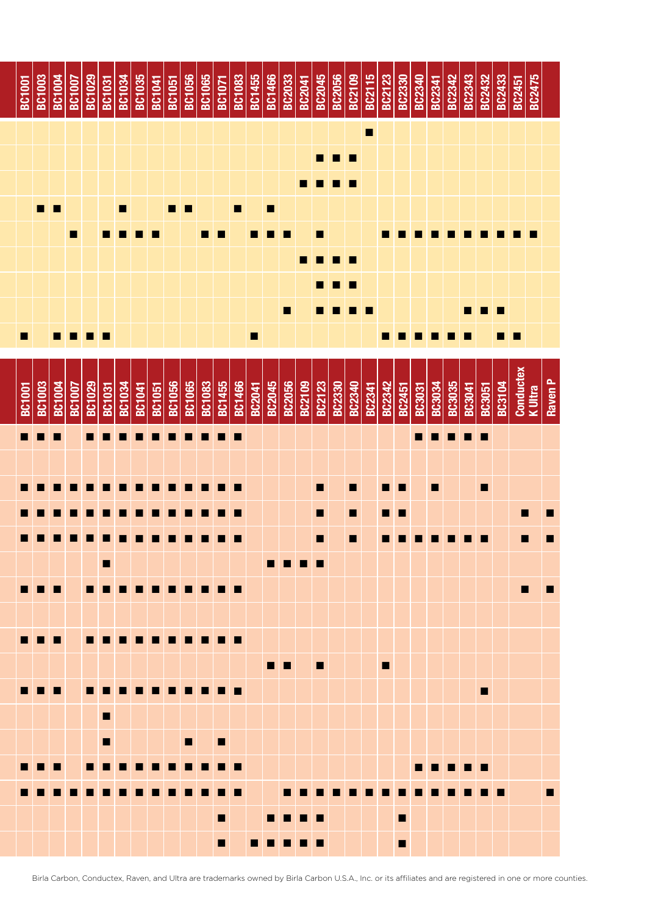

Birla Carbon, Conductex, Raven, and Ultra are trademarks owned by Birla Carbon U.S.A., Inc. or its affiliates and are registered in one or more counties.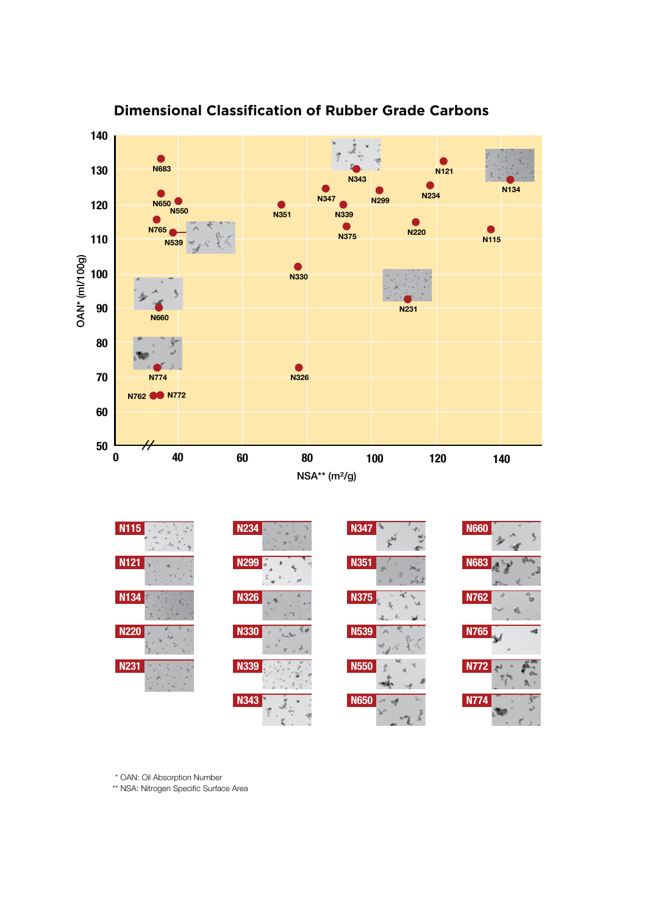

### **Dimensional Classification of Rubber Grade Carbons**

\* OAN: Oil Absorption Number

\*\* NSA: Nitrogen Specific Surface Area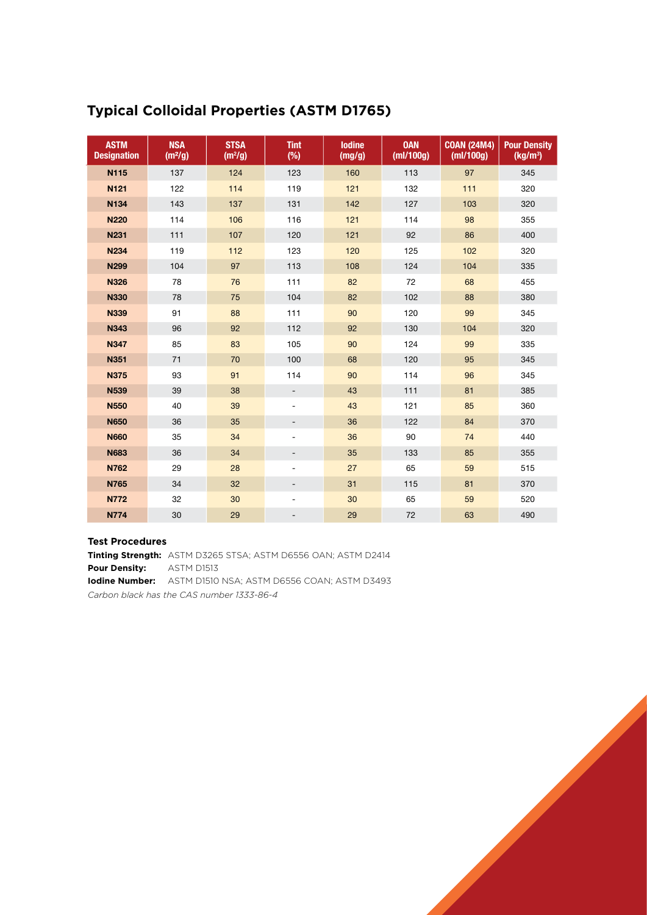| <b>ASTM</b><br><b>Designation</b> | <b>NSA</b><br>(m <sup>2</sup> /g) | <b>STSA</b><br>(m <sup>2</sup> /g) | <b>Tint</b><br>$(\%)$    | <b>lodine</b><br>(mg/g) | <b>OAN</b><br>(mI/100g) | <b>COAN (24M4)</b><br>(mI/100q) | <b>Pour Density</b><br>(kg/m <sup>3</sup> ) |
|-----------------------------------|-----------------------------------|------------------------------------|--------------------------|-------------------------|-------------------------|---------------------------------|---------------------------------------------|
| <b>N115</b>                       | 137                               | 124                                | 123                      | 160                     | 113                     | 97                              | 345                                         |
| N121                              | 122                               | 114                                | 119                      | 121                     | 132                     | 111                             | 320                                         |
| N134                              | 143                               | 137                                | 131                      | 142                     | 127                     | 103                             | 320                                         |
| <b>N220</b>                       | 114                               | 106                                | 116                      | 121                     | 114                     | 98                              | 355                                         |
| <b>N231</b>                       | 111                               | 107                                | 120                      | 121                     | 92                      | 86                              | 400                                         |
| <b>N234</b>                       | 119                               | 112                                | 123                      | 120                     | 125                     | 102                             | 320                                         |
| <b>N299</b>                       | 104                               | 97                                 | 113                      | 108                     | 124                     | 104                             | 335                                         |
| <b>N326</b>                       | 78                                | 76                                 | 111                      | 82                      | 72                      | 68                              | 455                                         |
| <b>N330</b>                       | 78                                | 75                                 | 104                      | 82                      | 102                     | 88                              | 380                                         |
| <b>N339</b>                       | 91                                | 88                                 | 111                      | 90                      | 120                     | 99                              | 345                                         |
| N343                              | 96                                | 92                                 | 112                      | 92                      | 130                     | 104                             | 320                                         |
| <b>N347</b>                       | 85                                | 83                                 | 105                      | 90                      | 124                     | 99                              | 335                                         |
| <b>N351</b>                       | 71                                | 70                                 | 100                      | 68                      | 120                     | 95                              | 345                                         |
| <b>N375</b>                       | 93                                | 91                                 | 114                      | 90                      | 114                     | 96                              | 345                                         |
| <b>N539</b>                       | 39                                | 38                                 | $\overline{\phantom{a}}$ | 43                      | 111                     | 81                              | 385                                         |
| <b>N550</b>                       | 40                                | 39                                 | $\overline{\phantom{a}}$ | 43                      | 121                     | 85                              | 360                                         |
| <b>N650</b>                       | 36                                | 35                                 | $\overline{\phantom{0}}$ | 36                      | 122                     | 84                              | 370                                         |
| <b>N660</b>                       | 35                                | 34                                 | $\overline{\phantom{a}}$ | 36                      | 90                      | 74                              | 440                                         |
| <b>N683</b>                       | 36                                | 34                                 | $\overline{\phantom{0}}$ | 35                      | 133                     | 85                              | 355                                         |
| N762                              | 29                                | 28                                 | $\overline{\phantom{a}}$ | 27                      | 65                      | 59                              | 515                                         |
| <b>N765</b>                       | 34                                | 32                                 | $\overline{\phantom{0}}$ | 31                      | 115                     | 81                              | 370                                         |
| <b>N772</b>                       | 32                                | 30                                 | $\overline{\phantom{a}}$ | 30                      | 65                      | 59                              | 520                                         |
| <b>N774</b>                       | 30                                | 29                                 | $\overline{a}$           | 29                      | 72                      | 63                              | 490                                         |

### **Typical Colloidal Properties (ASTM D1765)**

#### **Test Procedures**

**Tinting Strength:** ASTM D3265 STSA; ASTM D6556 OAN; ASTM D2414 **Pour Density:** ASTM D1513 **Iodine Number:** ASTM D1510 NSA; ASTM D6556 COAN; ASTM D3493 *Carbon black has the CAS number 1333-86-4*